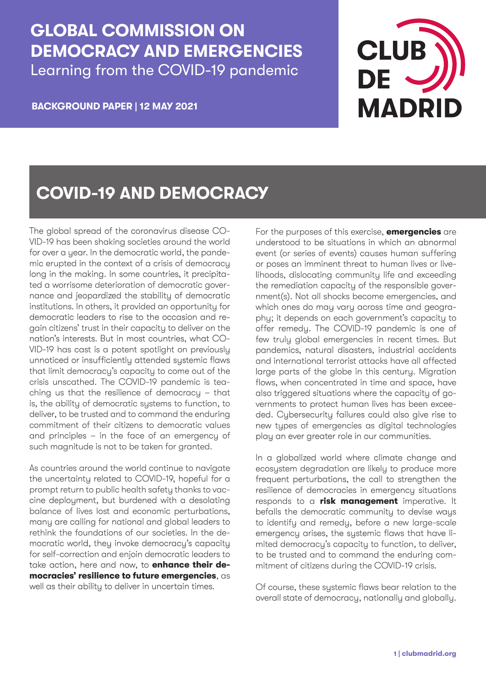## **GLOBAL COMMISSION ON DEMOCRACY AND EMERGENCIES** Learning from the COVID-19 pandemic

**CLUB MADRI** 

**BACKGROUND PAPER | 12 MAY 2021**

# **COVID-19 AND DEMOCRACY**

The global spread of the coronavirus disease CO-VID-19 has been shaking societies around the world for over a year. In the democratic world, the pandemic erupted in the context of a crisis of democracy long in the making. In some countries, it precipitated a worrisome deterioration of democratic governance and jeopardized the stability of democratic institutions. In others, it provided an opportunity for democratic leaders to rise to the occasion and regain citizens' trust in their capacity to deliver on the nation's interests. But in most countries, what CO-VID-19 has cast is a potent spotlight on previously unnoticed or insufficiently attended systemic flaws that limit democracy's capacity to come out of the crisis unscathed. The COVID-19 pandemic is teaching us that the resilience of democracy – that is, the ability of democratic systems to function, to deliver, to be trusted and to command the enduring commitment of their citizens to democratic values and principles – in the face of an emergency of such magnitude is not to be taken for granted.

As countries around the world continue to navigate the uncertainty related to COVID-19, hopeful for a prompt return to public health safety thanks to vaccine deployment, but burdened with a desolating balance of lives lost and economic perturbations, many are calling for national and global leaders to rethink the foundations of our societies. In the democratic world, they invoke democracy's capacity for self-correction and enjoin democratic leaders to take action, here and now, to **enhance their democracies' resilience to future emergencies**, as well as their ability to deliver in uncertain times.

For the purposes of this exercise, **emergencies** are understood to be situations in which an abnormal event (or series of events) causes human suffering or poses an imminent threat to human lives or livelihoods, dislocating community life and exceeding the remediation capacity of the responsible government(s). Not all shocks become emergencies, and which ones do may vary across time and geography; it depends on each government's capacity to offer remedy. The COVID-19 pandemic is one of few truly global emergencies in recent times. But pandemics, natural disasters, industrial accidents and international terrorist attacks have all affected large parts of the globe in this century. Migration flows, when concentrated in time and space, have also triggered situations where the capacity of governments to protect human lives has been exceeded. Cybersecurity failures could also give rise to new types of emergencies as digital technologies play an ever greater role in our communities.

In a globalized world where climate change and ecosystem degradation are likely to produce more frequent perturbations, the call to strengthen the resilience of democracies in emergency situations responds to a **risk management** imperative. It befalls the democratic community to devise ways to identify and remedy, before a new large-scale emergency arises, the systemic flaws that have limited democracy's capacity to function, to deliver, to be trusted and to command the enduring commitment of citizens during the COVID-19 crisis.

Of course, these systemic flaws bear relation to the overall state of democracy, nationally and globally.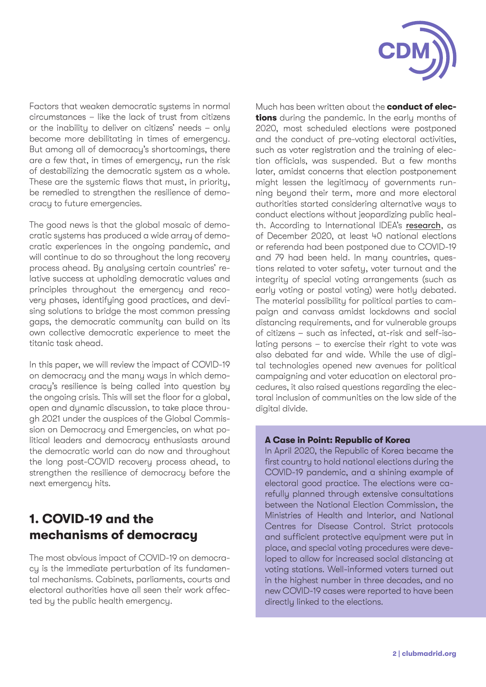

Factors that weaken democratic systems in normal circumstances – like the lack of trust from citizens or the inability to deliver on citizens' needs – only become more debilitating in times of emergency. But among all of democracy's shortcomings, there are a few that, in times of emergency, run the risk of destabilizing the democratic system as a whole. These are the systemic flaws that must, in priority, be remedied to strengthen the resilience of democracy to future emergencies.

The good news is that the global mosaic of democratic systems has produced a wide array of democratic experiences in the ongoing pandemic, and will continue to do so throughout the long recovery process ahead. By analysing certain countries' relative success at upholding democratic values and principles throughout the emergency and recovery phases, identifying good practices, and devising solutions to bridge the most common pressing gaps, the democratic community can build on its own collective democratic experience to meet the titanic task ahead.

In this paper, we will review the impact of COVID-19 on democracy and the many ways in which democracy's resilience is being called into question by the ongoing crisis. This will set the floor for a global, open and dynamic discussion, to take place through 2021 under the auspices of the Global Commission on Democracy and Emergencies, on what political leaders and democracy enthusiasts around the democratic world can do now and throughout the long post-COVID recovery process ahead, to strengthen the resilience of democracy before the next emergency hits.

## **1. COVID-19 and the mechanisms of democracy**

The most obvious impact of COVID-19 on democracy is the immediate perturbation of its fundamental mechanisms. Cabinets, parliaments, courts and electoral authorities have all seen their work affected by the public health emergency.

Much has been written about the **conduct of elections** during the pandemic. In the early months of 2020, most scheduled elections were postponed and the conduct of pre-voting electoral activities, such as voter registration and the training of election officials, was suspended. But a few months later, amidst concerns that election postponement might lessen the legitimacy of governments running beyond their term, more and more electoral authorities started considering alternative ways to conduct elections without jeopardizing public health. According to International IDEA's [research](https://www.idea.int/news-media/multimedia-reports/global-overview-covid-19-impact-elections), as of December 2020, at least 40 national elections or referenda had been postponed due to COVID-19 and 79 had been held. In many countries, questions related to voter safety, voter turnout and the integrity of special voting arrangements (such as early voting or postal voting) were hotly debated. The material possibility for political parties to campaign and canvass amidst lockdowns and social distancing requirements, and for vulnerable groups of citizens – such as infected, at-risk and self-isolating persons – to exercise their right to vote was also debated far and wide. While the use of digital technologies opened new avenues for political campaigning and voter education on electoral procedures, it also raised questions regarding the electoral inclusion of communities on the low side of the digital divide.

#### **A Case in Point: Republic of Korea**

In April 2020, the Republic of Korea became the first country to hold national elections during the COVID-19 pandemic, and a shining example of electoral good practice. The elections were carefully planned through extensive consultations between the National Election Commission, the Ministries of Health and Interior, and National Centres for Disease Control. Strict protocols and sufficient protective equipment were put in place, and special voting procedures were developed to allow for increased social distancing at voting stations. Well-informed voters turned out in the highest number in three decades, and no new COVID-19 cases were reported to have been directly linked to the elections.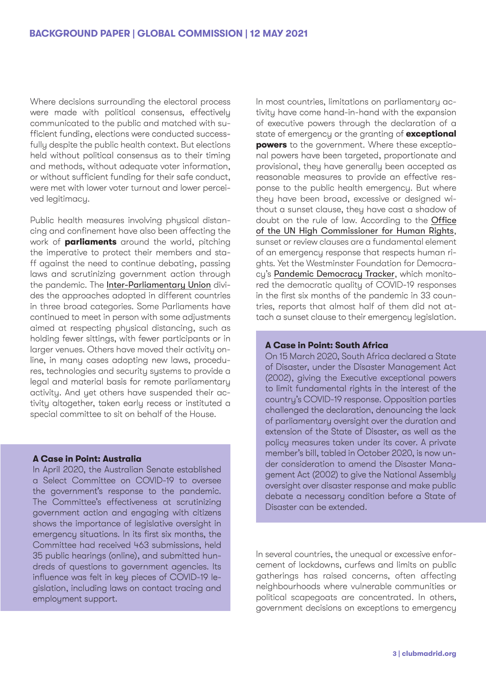Where decisions surrounding the electoral process were made with political consensus, effectively communicated to the public and matched with sufficient funding, elections were conducted successfully despite the public health context. But elections held without political consensus as to their timing and methods, without adequate voter information, or without sufficient funding for their safe conduct, were met with lower voter turnout and lower perceived legitimacy.

Public health measures involving physical distancing and confinement have also been affecting the work of **parliaments** around the world, pitching the imperative to protect their members and staff against the need to continue debating, passing laws and scrutinizing government action through the pandemic. The [Inter-Parliamentary Union](https://www.ipu.org/news/news-in-brief/2020-04/how-run-parliament-during-pandemic-q-and) divides the approaches adopted in different countries in three broad categories. Some Parliaments have continued to meet in person with some adjustments aimed at respecting physical distancing, such as holding fewer sittings, with fewer participants or in larger venues. Others have moved their activity online, in many cases adopting new laws, procedures, technologies and security systems to provide a legal and material basis for remote parliamentary activity. And yet others have suspended their activity altogether, taken early recess or instituted a special committee to sit on behalf of the House.

#### **A Case in Point: Australia**

In April 2020, the Australian Senate established a Select Committee on COVID-19 to oversee the government's response to the pandemic. The Committee's effectiveness at scrutinizing government action and engaging with citizens shows the importance of legislative oversight in emergency situations. In its first six months, the Committee had received 463 submissions, held 35 public hearings (online), and submitted hundreds of questions to government agencies. Its influence was felt in key pieces of COVID-19 legislation, including laws on contact tracing and employment support.

In most countries, limitations on parliamentary activity have come hand-in-hand with the expansion of executive powers through the declaration of a state of emergency or the granting of **exceptional powers** to the government. Where these exceptional powers have been targeted, proportionate and provisional, they have generally been accepted as reasonable measures to provide an effective response to the public health emergency. But where they have been broad, excessive or designed without a sunset clause, they have cast a shadow of doubt on the rule of law. According to the [Office](https://www.ohchr.org/Documents/Events/EmergencyMeasures_COVID19.pdf) [of the UN High Commissioner for Human Rights](https://www.ohchr.org/Documents/Events/EmergencyMeasures_COVID19.pdf), sunset or review clauses are a fundamental element of an emergency response that respects human rights. Yet the Westminster Foundation for Democracy's [Pandemic Democracy Tracker](https://eur03.safelinks.protection.outlook.com/?url=http%3A%2F%2Ftracker.wfd.org%2F&data=02%7C01%7CRosie.Frost%40wfd.org%7C4c9b9401155d4626d64208d85339c2a8%7C4aeb014672a44d4e903f93bf7aab25dc%7C1%7C0%7C637350854833998646&sdata=utdCyuq952pYO10JEQJi2BeW2TpZJd2tbEdAFhosekM%3D&reserved=0), which monitored the democratic quality of COVID-19 responses in the first six months of the pandemic in 33 countries, reports that almost half of them did not attach a sunset clause to their emergency legislation.

#### **A Case in Point: South Africa**

On 15 March 2020, South Africa declared a State of Disaster, under the Disaster Management Act (2002), giving the Executive exceptional powers to limit fundamental rights in the interest of the country's COVID-19 response. Opposition parties challenged the declaration, denouncing the lack of parliamentary oversight over the duration and extension of the State of Disaster, as well as the policy measures taken under its cover. A private member's bill, tabled in October 2020, is now under consideration to amend the Disaster Management Act (2002) to give the National Assembly oversight over disaster response and make public debate a necessary condition before a State of Disaster can be extended.

In several countries, the unequal or excessive enforcement of lockdowns, curfews and limits on public gatherings has raised concerns, often affecting neighbourhoods where vulnerable communities or political scapegoats are concentrated. In others, government decisions on exceptions to emergency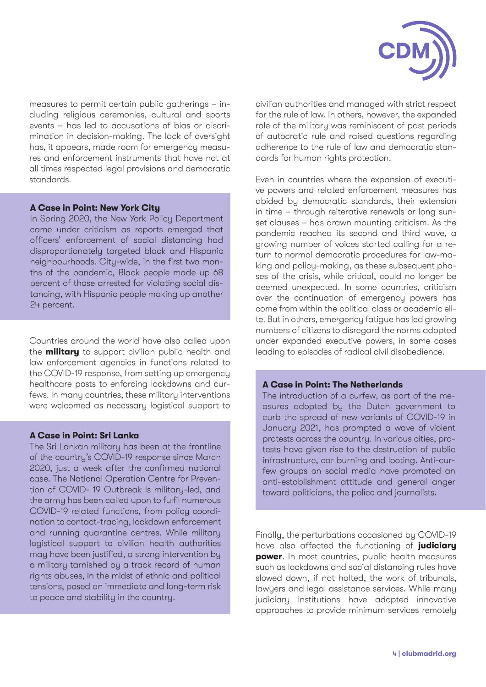

measures to permit certain public gatherings – including religious ceremonies, cultural and sports events – has led to accusations of bias or discrimination in decision-making. The lack of oversight has, it appears, made room for emergency measures and enforcement instruments that have not at all times respected legal provisions and democratic standards.

#### **A Case in Point: New York City**

In Spring 2020, the New York Policy Department came under criticism as reports emerged that officers' enforcement of social distancing had disproportionately targeted black and Hispanic neighbourhoods. City-wide, in the first two months of the pandemic, Black people made up 68 percent of those arrested for violating social distancing, with Hispanic people making up another 24 percent.

Countries around the world have also called upon the **military** to support civilian public health and law enforcement agencies in functions related to the COVID-19 response, from setting up emergency healthcare posts to enforcing lockdowns and curfews. In many countries, these military interventions were welcomed as necessary logistical support to

#### **A Case in Point: Sri Lanka**

The Sri Lankan military has been at the frontline of the country's COVID-19 response since March 2020, just a week after the confirmed national case. The National Operation Centre for Prevention of COVID- 19 Outbreak is military-led, and the army has been called upon to fulfil numerous COVID-19 related functions, from policy coordination to contact-tracing, lockdown enforcement and running quarantine centres. While military logistical support to civilian health authorities may have been justified, a strong intervention by a military tarnished by a track record of human rights abuses, in the midst of ethnic and political tensions, posed an immediate and long-term risk to peace and stability in the country.

civilian authorities and managed with strict respect for the rule of law. In others, however, the expanded role of the military was reminiscent of past periods of autocratic rule and raised questions regarding adherence to the rule of law and democratic standards for human rights protection.

Even in countries where the expansion of executive powers and related enforcement measures has abided by democratic standards, their extension in time – through reiterative renewals or long sunset clauses – has drawn mounting criticism. As the pandemic reached its second and third wave, a growing number of voices started calling for a return to normal democratic procedures for law-making and policy-making, as these subsequent phases of the crisis, while critical, could no longer be deemed unexpected. In some countries, criticism over the continuation of emergency powers has come from within the political class or academic elite. But in others, emergency fatigue has led growing numbers of citizens to disregard the norms adopted under expanded executive powers, in some cases leading to episodes of radical civil disobedience.

#### **A Case in Point: The Netherlands**

The introduction of a curfew, as part of the measures adopted by the Dutch government to curb the spread of new variants of COVID-19 in January 2021, has prompted a wave of violent protests across the country. In various cities, protests have given rise to the destruction of public infrastructure, car burning and looting. Anti-curfew groups on social media have promoted an anti-establishment attitude and general anger toward politicians, the police and journalists.

Finally, the perturbations occasioned by COVID-19 have also affected the functioning of **judiciary power**. In most countries, public health measures such as lockdowns and social distancing rules have slowed down, if not halted, the work of tribunals, lawyers and legal assistance services. While many judiciary institutions have adopted innovative approaches to provide minimum services remotely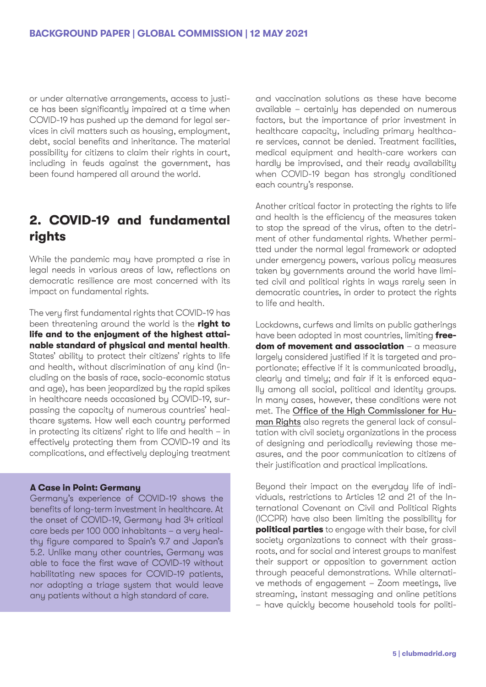or under alternative arrangements, access to justice has been significantly impaired at a time when COVID-19 has pushed up the demand for legal services in civil matters such as housing, employment, debt, social benefits and inheritance. The material possibility for citizens to claim their rights in court, including in feuds against the government, has been found hampered all around the world.

## **2. COVID-19 and fundamental rights**

While the pandemic may have prompted a rise in legal needs in various areas of law, reflections on democratic resilience are most concerned with its impact on fundamental rights.

The very first fundamental rights that COVID-19 has been threatening around the world is the **right to life and to the enjoyment of the highest attainable standard of physical and mental health**. States' ability to protect their citizens' rights to life and health, without discrimination of any kind (including on the basis of race, socio-economic status and age), has been jeopardized by the rapid spikes in healthcare needs occasioned by COVID-19, surpassing the capacity of numerous countries' healthcare systems. How well each country performed in protecting its citizens' right to life and health – in effectively protecting them from COVID-19 and its complications, and effectively deploying treatment

#### **A Case in Point: Germany**

Germany's experience of COVID-19 shows the benefits of long-term investment in healthcare. At the onset of COVID-19, Germany had 34 critical care beds per 100 000 inhabitants – a very healthy figure compared to Spain's 9.7 and Japan's 5.2. Unlike many other countries, Germany was able to face the first wave of COVID-19 without habilitating new spaces for COVID-19 patients, nor adopting a triage system that would leave any patients without a high standard of care.

and vaccination solutions as these have become available – certainly has depended on numerous factors, but the importance of prior investment in healthcare capacity, including primary healthcare services, cannot be denied. Treatment facilities, medical equipment and health-care workers can hardly be improvised, and their ready availability when COVID-19 began has strongly conditioned each country's response.

Another critical factor in protecting the rights to life and health is the efficiency of the measures taken to stop the spread of the virus, often to the detriment of other fundamental rights. Whether permitted under the normal legal framework or adopted under emergency powers, various policy measures taken by governments around the world have limited civil and political rights in ways rarely seen in democratic countries, in order to protect the rights to life and health.

Lockdowns, curfews and limits on public gatherings have been adopted in most countries, limiting **freedom of movement and association** – a measure largely considered justified if it is targeted and proportionate; effective if it is communicated broadly, clearly and timely; and fair if it is enforced equally among all social, political and identity groups. In many cases, however, these conditions were not met. The [Office of the High Commissioner for Hu](https://www.ohchr.org/EN/NewsEvents/Pages/DisplayNews.aspx?NewsID=25788&LangID=E)[man Rights](https://www.ohchr.org/EN/NewsEvents/Pages/DisplayNews.aspx?NewsID=25788&LangID=E) also regrets the general lack of consultation with civil society organizations in the process of designing and periodically reviewing those measures, and the poor communication to citizens of their justification and practical implications.

Beyond their impact on the everyday life of individuals, restrictions to Articles 12 and 21 of the International Covenant on Civil and Political Rights (ICCPR) have also been limiting the possibility for **political parties** to engage with their base, for civil society organizations to connect with their grassroots, and for social and interest groups to manifest their support or opposition to government action through peaceful demonstrations. While alternative methods of engagement – Zoom meetings, live streaming, instant messaging and online petitions – have quickly become household tools for politi-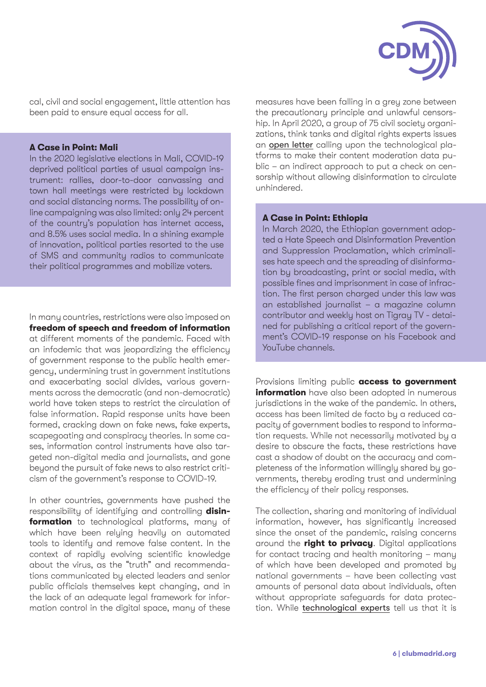

cal, civil and social engagement, little attention has been paid to ensure equal access for all.

#### **A Case in Point: Mali**

In the 2020 legislative elections in Mali, COVID-19 deprived political parties of usual campaign instrument: rallies, door-to-door canvassing and town hall meetings were restricted by lockdown and social distancing norms. The possibility of online campaigning was also limited: only 24 percent of the country's population has internet access, and 8.5% uses social media. In a shining example of innovation, political parties resorted to the use of SMS and community radios to communicate their political programmes and mobilize voters.

In many countries, restrictions were also imposed on **freedom of speech and freedom of information**  at different moments of the pandemic. Faced with an infodemic that was jeopardizing the efficiency of government response to the public health emergency, undermining trust in government institutions and exacerbating social divides, various governments across the democratic (and non-democratic) world have taken steps to restrict the circulation of false information. Rapid response units have been formed, cracking down on fake news, fake experts, scapegoating and conspiracy theories. In some cases, information control instruments have also targeted non-digital media and journalists, and gone beyond the pursuit of fake news to also restrict criticism of the government's response to COVID-19.

In other countries, governments have pushed the responsibility of identifying and controlling **disinformation** to technological platforms, many of which have been relying heavily on automated tools to identify and remove false content. In the context of rapidly evolving scientific knowledge about the virus, as the "truth" and recommendations communicated by elected leaders and senior public officials themselves kept changing, and in the lack of an adequate legal framework for information control in the digital space, many of these

measures have been falling in a grey zone between the precautionary principle and unlawful censorship. In April 2020, a group of 75 civil society organizations, think tanks and digital rights experts issues an [open letter](https://www.article19.org/resources/coronavirus-75-organisations-call-on-social-media-platforms-to-preserve-publish-content-moderation-data/) calling upon the technological platforms to make their content moderation data public – an indirect approach to put a check on censorship without allowing disinformation to circulate unhindered.

#### **A Case in Point: Ethiopia**

In March 2020, the Ethiopian government adopted a Hate Speech and Disinformation Prevention and Suppression Proclamation, which criminalises hate speech and the spreading of disinformation by broadcasting, print or social media, with possible fines and imprisonment in case of infraction. The first person charged under this law was an established journalist – a magazine column contributor and weekly host on Tigray TV - detained for publishing a critical report of the government's COVID-19 response on his Facebook and YouTube channels.

Provisions limiting public **access to government information** have also been adopted in numerous jurisdictions in the wake of the pandemic. In others, access has been limited de facto by a reduced capacity of government bodies to respond to information requests. While not necessarily motivated by a desire to obscure the facts, these restrictions have cast a shadow of doubt on the accuracy and completeness of the information willingly shared by governments, thereby eroding trust and undermining the efficiency of their policy responses.

The collection, sharing and monitoring of individual information, however, has significantly increased since the onset of the pandemic, raising concerns around the **right to privacy**. Digital applications for contact tracing and health monitoring – many of which have been developed and promoted by national governments – have been collecting vast amounts of personal data about individuals, often without appropriate safeguards for data protection. While [technological experts](https://www.wired.com/story/internet-freedom-covid-19-2020/) tell us that it is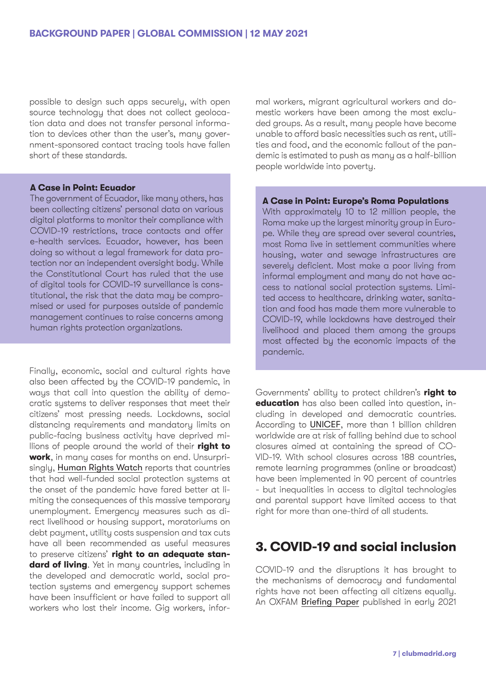possible to design such apps securely, with open source technology that does not collect geolocation data and does not transfer personal information to devices other than the user's, many government-sponsored contact tracing tools have fallen short of these standards.

#### **A Case in Point: Ecuador**

The government of Ecuador, like many others, has been collecting citizens' personal data on various digital platforms to monitor their compliance with COVID-19 restrictions, trace contacts and offer e-health services. Ecuador, however, has been doing so without a legal framework for data protection nor an independent oversight body. While the Constitutional Court has ruled that the use of digital tools for COVID-19 surveillance is constitutional, the risk that the data may be compromised or used for purposes outside of pandemic management continues to raise concerns among human rights protection organizations.

Finally, economic, social and cultural rights have also been affected by the COVID-19 pandemic, in ways that call into question the ability of democratic systems to deliver responses that meet their citizens' most pressing needs. Lockdowns, social distancing requirements and mandatory limits on public-facing business activity have deprived millions of people around the world of their **right to work**, in many cases for months on end. Unsurprisingly, [Human Rights Watch](https://www.hrw.org/news/2020/06/29/protecting-economic-and-social-rights-during-and-post-covid-19) reports that countries that had well-funded social protection systems at the onset of the pandemic have fared better at limiting the consequences of this massive temporary unemployment. Emergency measures such as direct livelihood or housing support, moratoriums on debt payment, utility costs suspension and tax cuts have all been recommended as useful measures to preserve citizens' **right to an adequate standard of living**. Yet in many countries, including in the developed and democratic world, social protection systems and emergency support schemes have been insufficient or have failed to support all workers who lost their income. Gig workers, infor-

mal workers, migrant agricultural workers and domestic workers have been among the most excluded groups. As a result, many people have become unable to afford basic necessities such as rent, utilities and food, and the economic fallout of the pandemic is estimated to push as many as a half-billion people worldwide into poverty.

#### **A Case in Point: Europe's Roma Populations**

With approximately 10 to 12 million people, the Roma make up the largest minority group in Europe. While they are spread over several countries, most Roma live in settlement communities where housing, water and sewage infrastructures are severely deficient. Most make a poor living from informal employment and many do not have access to national social protection systems. Limited access to healthcare, drinking water, sanitation and food has made them more vulnerable to COVID-19, while lockdowns have destroued their livelihood and placed them among the groups most affected by the economic impacts of the pandemic.

Governments' ability to protect children's **right to education** has also been called into question, including in developed and democratic countries. According to [UNICEF](https://data.unicef.org/topic/education/covid-19/), more than 1 billion children worldwide are at risk of falling behind due to school closures aimed at containing the spread of CO-VID-19. With school closures across 188 countries, remote learning programmes (online or broadcast) have been implemented in 90 percent of countries - but inequalities in access to digital technologies and parental support have limited access to that right for more than one-third of all students.

## **3. COVID-19 and social inclusion**

COVID-19 and the disruptions it has brought to the mechanisms of democracy and fundamental rights have not been affecting all citizens equally. An OXFAM [Briefing Paper](https://www.google.com/url?sa=t&rct=j&q=&esrc=s&source=web&cd=&ved=2ahUKEwiPhbb1zMjuAhVKSsAKHSSfCrkQFjACegQIAxAC&url=https%3A%2F%2Foxfamilibrary.openrepository.com%2Fbitstream%2Fhandle%2F10546%2F621149%2Fbp-the-inequality-virus-250121-en.pdf&usg=AOvVaw3fMkyDKpn2oyNWSFaoljpm) published in early 2021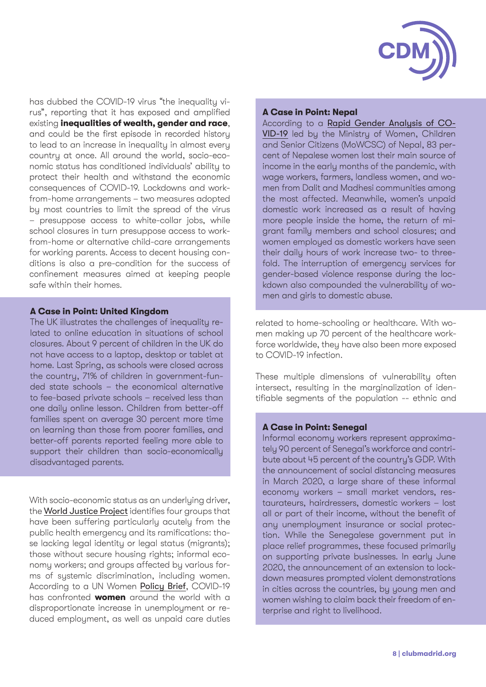

has dubbed the COVID-19 virus "the inequality virus", reporting that it has exposed and amplified existing **inequalities of wealth, gender and race**, and could be the first episode in recorded history to lead to an increase in inequality in almost every country at once. All around the world, socio-economic status has conditioned individuals' ability to protect their health and withstand the economic consequences of COVID-19. Lockdowns and workfrom-home arrangements – two measures adopted by most countries to limit the spread of the virus – presuppose access to white-collar jobs, while school closures in turn presuppose access to workfrom-home or alternative child-care arrangements for working parents. Access to decent housing conditions is also a pre-condition for the success of confinement measures aimed at keeping people safe within their homes.

#### **A Case in Point: United Kingdom**

The UK illustrates the challenges of inequality related to online education in situations of school closures. About 9 percent of children in the UK do not have access to a laptop, desktop or tablet at home. Last Spring, as schools were closed across the country, 71% of children in government-funded state schools – the economical alternative to fee-based private schools – received less than one daily online lesson. Children from better-off families spent on average 30 percent more time on learning than those from poorer families, and better-off parents reported feeling more able to support their children than socio-economically disadvantaged parents.

With socio-economic status as an underlying driver, the [World Justice Project](https://worldjusticeproject.org/sites/default/files/documents/Global Justice Gap-11-02.pdf) identifies four groups that have been suffering particularly acutely from the public health emergency and its ramifications: those lacking legal identity or legal status (migrants); those without secure housing rights; informal economy workers; and groups affected by various forms of systemic discrimination, including women. According to a UN Women [Policy Brief](https://www.unwomen.org/-/media/headquarters/attachments/sections/library/publications/2020/policy-brief-addressing-the-economic-fallout-of-covid-19-en.pdf?la=en&vs=406), COVID-19 has confronted **women** around the world with a disproportionate increase in unemployment or reduced employment, as well as unpaid care duties

#### **A Case in Point: Nepal**

According to a [Rapid Gender Analysis of CO-](https://asiapacific.unwomen.org/-/media/field office eseasia/docs/publications/2020/11/np-rapid-gender-analysis-on-covid-19-nepal-2020-en.pdf?la=en&vs=5043)[VID-19](https://asiapacific.unwomen.org/-/media/field office eseasia/docs/publications/2020/11/np-rapid-gender-analysis-on-covid-19-nepal-2020-en.pdf?la=en&vs=5043) led by the Ministry of Women, Children and Senior Citizens (MoWCSC) of Nepal, 83 percent of Nepalese women lost their main source of income in the early months of the pandemic, with wage workers, farmers, landless women, and women from Dalit and Madhesi communities among the most affected. Meanwhile, women's unpaid domestic work increased as a result of having more people inside the home, the return of migrant family members and school closures; and women employed as domestic workers have seen their daily hours of work increase two- to threefold. The interruption of emergency services for gender-based violence response during the lockdown also compounded the vulnerability of women and girls to domestic abuse.

related to home-schooling or healthcare. With women making up 70 percent of the healthcare workforce worldwide, they have also been more exposed to COVID-19 infection.

These multiple dimensions of vulnerability often intersect, resulting in the marginalization of identifiable segments of the population -- ethnic and

#### **A Case in Point: Senegal**

Informal economy workers represent approximately 90 percent of Senegal's workforce and contribute about 45 percent of the country's GDP. With the announcement of social distancing measures in March 2020, a large share of these informal economy workers – small market vendors, restaurateurs, hairdressers, domestic workers – lost all or part of their income, without the benefit of any unemployment insurance or social protection. While the Senegalese government put in place relief programmes, these focused primarily on supporting private businesses. In early June 2020, the announcement of an extension to lockdown measures prompted violent demonstrations in cities across the countries, by young men and women wishing to claim back their freedom of enterprise and right to livelihood.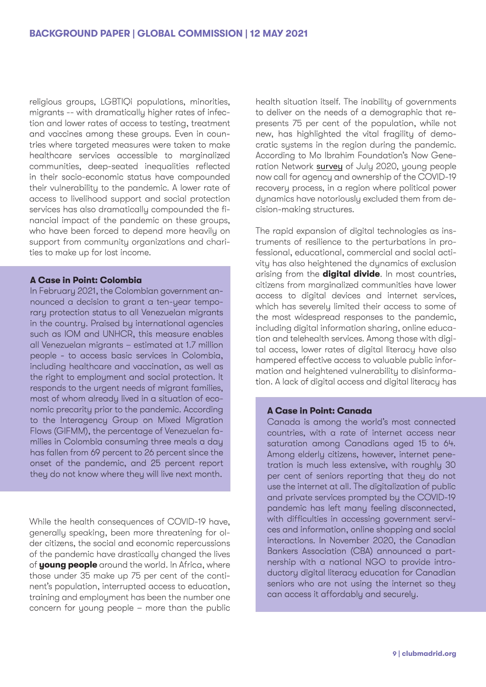religious groups, LGBTIQi populations, minorities, migrants -- with dramatically higher rates of infection and lower rates of access to testing, treatment and vaccines among these groups. Even in countries where targeted measures were taken to make healthcare services accessible to marginalized communities, deep-seated inequalities reflected in their socio-economic status have compounded their vulnerability to the pandemic. A lower rate of access to livelihood support and social protection services has also dramatically compounded the financial impact of the pandemic on these groups, who have been forced to depend more heavily on support from community organizations and charities to make up for lost income.

#### **A Case in Point: Colombia**

In February 2021, the Colombian government announced a decision to grant a ten-year temporary protection status to all Venezuelan migrants in the country. Praised by international agencies such as IOM and UNHCR, this measure enables all Venezuelan migrants – estimated at 1.7 million people - to access basic services in Colombia, including healthcare and vaccination, as well as the right to employment and social protection. It responds to the urgent needs of migrant families, most of whom already lived in a situation of economic precarity prior to the pandemic. According to the Interagency Group on Mixed Migration Flows (GIFMM), the percentage of Venezuelan families in Colombia consuming three meals a day has fallen from 69 percent to 26 percent since the onset of the pandemic, and 25 percent report they do not know where they will live next month.

While the health consequences of COVID-19 have, generally speaking, been more threatening for older citizens, the social and economic repercussions of the pandemic have drastically changed the lives of **young people** around the world. In Africa, where those under 35 make up 75 per cent of the continent's population, interrupted access to education, training and employment has been the number one concern for young people – more than the public health situation itself. The inability of governments to deliver on the needs of a demographic that represents 75 per cent of the population, while not new, has highlighted the vital fragility of democratic systems in the region during the pandemic. According to Mo Ibrahim Foundation's Now Generation Network [survey](https://mo.ibrahim.foundation/sites/default/files/2020-07/ngn-survey-report.pdf) of July 2020, young people now call for agency and ownership of the COVID-19 recovery process, in a region where political power dynamics have notoriously excluded them from decision-making structures.

The rapid expansion of digital technologies as instruments of resilience to the perturbations in professional, educational, commercial and social activity has also heightened the dynamics of exclusion arising from the **digital divide**. In most countries, citizens from marginalized communities have lower access to digital devices and internet services, which has severely limited their access to some of the most widespread responses to the pandemic, including digital information sharing, online education and telehealth services. Among those with digital access, lower rates of digital literacy have also hampered effective access to valuable public information and heightened vulnerability to disinformation. A lack of digital access and digital literacy has

#### **A Case in Point: Canada**

Canada is among the world's most connected countries, with a rate of internet access near saturation among Canadians aged 15 to 64. Among elderly citizens, however, internet penetration is much less extensive, with roughly 30 per cent of seniors reporting that they do not use the internet at all. The digitalization of public and private services prompted by the COVID-19 pandemic has left many feeling disconnected, with difficulties in accessing government services and information, online shopping and social interactions. In November 2020, the Canadian Bankers Association (CBA) announced a partnership with a national NGO to provide introductory digital literacy education for Canadian seniors who are not using the internet so they can access it affordably and securely.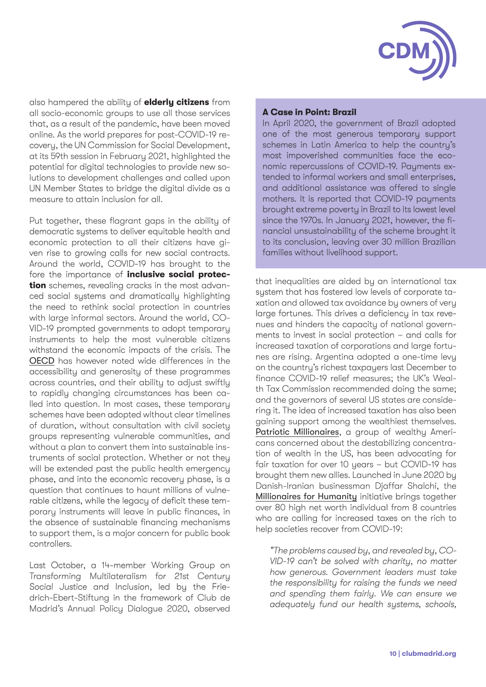

also hampered the ability of **elderly citizens** from all socio-economic groups to use all those services that, as a result of the pandemic, have been moved online. As the world prepares for post-COVID-19 recovery, the UN Commission for Social Development, at its 59th session in February 2021, highlighted the potential for digital technologies to provide new solutions to development challenges and called upon UN Member States to bridge the digital divide as a measure to attain inclusion for all.

Put together, these flagrant gaps in the ability of democratic systems to deliver equitable health and economic protection to all their citizens have given rise to growing calls for new social contracts. Around the world, COVID-19 has brought to the fore the importance of **inclusive social protection** schemes, revealing cracks in the most advanced social systems and dramatically highlighting the need to rethink social protection in countries with large informal sectors. Around the world, CO-VID-19 prompted governments to adopt temporary instruments to help the most vulnerable citizens withstand the economic impacts of the crisis. The [OECD](https://www.oecd.org/coronavirus/policy-responses/supporting-livelihoods-during-the-covid-19-crisis-closing-the-gaps-in-safety-nets-17cbb92d/) has however noted wide differences in the accessibility and generosity of these programmes across countries, and their ability to adjust swiftly to rapidly changing circumstances has been called into question. In most cases, these temporary schemes have been adopted without clear timelines of duration, without consultation with civil society groups representing vulnerable communities, and without a plan to convert them into sustainable instruments of social protection. Whether or not they will be extended past the public health emergency phase, and into the economic recovery phase, is a question that continues to haunt millions of vulnerable citizens, while the legacy of deficit these temporary instruments will leave in public finances, in the absence of sustainable financing mechanisms to support them, is a major concern for public book controllers.

Last October, a 14-member Working Group on Transforming Multilateralism for 21st Century Social Justice and Inclusion, led by the Friedrich-Ebert-Stiftung in the framework of Club de Madrid's Annual Policy Dialogue 2020, observed

#### **A Case in Point: Brazil**

In April 2020, the government of Brazil adopted one of the most generous temporary support schemes in Latin America to help the country's most impoverished communities face the economic repercussions of COVID-19. Payments extended to informal workers and small enterprises, and additional assistance was offered to single mothers. It is reported that COVID-19 payments brought extreme poverty in Brazil to its lowest level since the 1970s. In January 2021, however, the financial unsustainability of the scheme brought it to its conclusion, leaving over 30 million Brazilian families without livelihood support.

that inequalities are aided by an international tax system that has fostered low levels of corporate taxation and allowed tax avoidance by owners of very large fortunes. This drives a deficiency in tax revenues and hinders the capacity of national governments to invest in social protection – and calls for increased taxation of corporations and large fortunes are rising. Argentina adopted a one-time levy on the country's richest taxpayers last December to finance COVID-19 relief measures; the UK's Wealth Tax Commission recommended doing the same; and the governors of several US states are considering it. The idea of increased taxation has also been gaining support among the wealthiest themselves. [Patriotic Millionaires](https://patrioticmillionaires.org/about/), a group of wealthy Americans concerned about the destabilizing concentration of wealth in the US, has been advocating for fair taxation for over 10 years – but COVID-19 has brought them new allies. Launched in June 2020 by Danish-Iranian businessman Djaffar Shalchi, the [Millionaires for Humanity](https://www.millionairesforhumanity.com/) initiative brings together over 80 high net worth individual from 8 countries who are calling for increased taxes on the rich to help societies recover from COVID-19:

"The problems caused by, and revealed by, CO-VID-19 can't be solved with charity, no matter how generous. Government leaders must take the responsibility for raising the funds we need and spending them fairly. We can ensure we adequately fund our health systems, schools,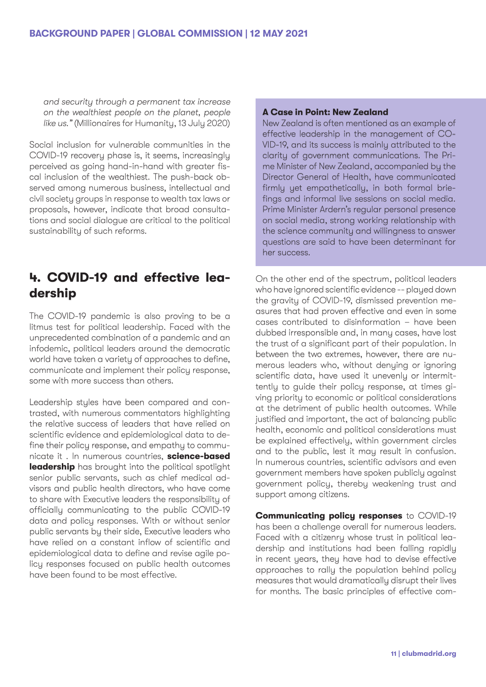and security through a permanent tax increase on the wealthiest people on the planet, people like us." (Millionaires for Humanity, 13 July 2020)

Social inclusion for vulnerable communities in the COVID-19 recovery phase is, it seems, increasingly perceived as going hand-in-hand with greater fiscal inclusion of the wealthiest. The push-back observed among numerous business, intellectual and civil society groups in response to wealth tax laws or proposals, however, indicate that broad consultations and social dialogue are critical to the political sustainability of such reforms.

## **4. COVID-19 and effective leadership**

The COVID-19 pandemic is also proving to be a litmus test for political leadership. Faced with the unprecedented combination of a pandemic and an infodemic, political leaders around the democratic world have taken a variety of approaches to define, communicate and implement their policy response, some with more success than others.

Leadership styles have been compared and contrasted, with numerous commentators highlighting the relative success of leaders that have relied on scientific evidence and epidemiological data to define their policy response, and empathy to communicate it . In numerous countries, **science-based leadership** has brought into the political spotlight senior public servants, such as chief medical advisors and public health directors, who have come to share with Executive leaders the responsibility of officially communicating to the public COVID-19 data and policy responses. With or without senior public servants by their side, Executive leaders who have relied on a constant inflow of scientific and epidemiological data to define and revise agile policy responses focused on public health outcomes have been found to be most effective.

#### **A Case in Point: New Zealand**

New Zealand is often mentioned as an example of effective leadership in the management of CO-VID-19, and its success is mainly attributed to the clarity of government communications. The Prime Minister of New Zealand, accompanied by the Director General of Health, have communicated firmly yet empathetically, in both formal briefings and informal live sessions on social media. Prime Minister Ardern's regular personal presence on social media, strong working relationship with the science community and willingness to answer questions are said to have been determinant for her success.

On the other end of the spectrum, political leaders who have ignored scientific evidence -- played down the gravity of COVID-19, dismissed prevention measures that had proven effective and even in some cases contributed to disinformation – have been dubbed irresponsible and, in many cases, have lost the trust of a significant part of their population. In between the two extremes, however, there are numerous leaders who, without denying or ignoring scientific data, have used it unevenly or intermittently to guide their policy response, at times giving priority to economic or political considerations at the detriment of public health outcomes. While justified and important, the act of balancing public health, economic and political considerations must be explained effectively, within government circles and to the public, lest it may result in confusion. In numerous countries, scientific advisors and even government members have spoken publicly against government policy, thereby weakening trust and support among citizens.

**Communicating policy responses** to COVID-19 has been a challenge overall for numerous leaders. Faced with a citizenry whose trust in political leadership and institutions had been falling rapidly in recent years, they have had to devise effective approaches to rally the population behind policy measures that would dramatically disrupt their lives for months. The basic principles of effective com-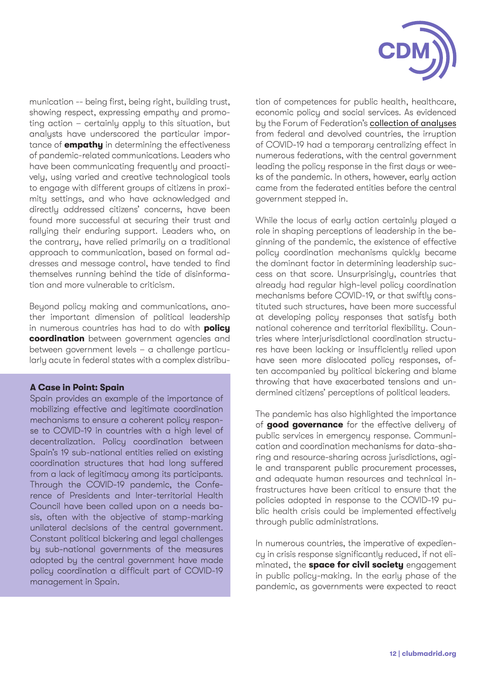

munication -- being first, being right, building trust, showing respect, expressing empathy and promoting action – certainly apply to this situation, but analysts have underscored the particular importance of **empathy** in determining the effectiveness of pandemic-related communications. Leaders who have been communicating frequently and proactively, using varied and creative technological tools to engage with different groups of citizens in proximity settings, and who have acknowledged and directly addressed citizens' concerns, have been found more successful at securing their trust and rallying their enduring support. Leaders who, on the contrary, have relied primarily on a traditional approach to communication, based on formal addresses and message control, have tended to find themselves running behind the tide of disinformation and more vulnerable to criticism.

Beyond policy making and communications, another important dimension of political leadership in numerous countries has had to do with **policy coordination** between government agencies and between government levels – a challenge particularly acute in federal states with a complex distribu-

#### **A Case in Point: Spain**

Spain provides an example of the importance of mobilizing effective and legitimate coordination mechanisms to ensure a coherent policy response to COVID-19 in countries with a high level of decentralization. Policy coordination between Spain's 19 sub-national entities relied on existing coordination structures that had long suffered from a lack of legitimacy among its participants. Through the COVID-19 pandemic, the Conference of Presidents and Inter-territorial Health Council have been called upon on a needs basis, often with the objective of stamp-marking unilateral decisions of the central government. Constant political bickering and legal challenges by sub-national governments of the measures adopted by the central government have made policy coordination a difficult part of COVID-19 management in Spain.

tion of competences for public health, healthcare, economic policy and social services. As evidenced by the Forum of Federation's [collection of analyses](http://www.forumfed.org/collection/dealing-with-the-covid-crisis-in-federal-and-devolved-countries/) from federal and devolved countries, the irruption of COVID-19 had a temporary centralizing effect in numerous federations, with the central government leading the policy response in the first days or weeks of the pandemic. In others, however, early action came from the federated entities before the central government stepped in.

While the locus of early action certainly played a role in shaping perceptions of leadership in the beginning of the pandemic, the existence of effective policy coordination mechanisms quickly became the dominant factor in determining leadership success on that score. Unsurprisingly, countries that already had regular high-level policy coordination mechanisms before COVID-19, or that swiftly constituted such structures, have been more successful at developing policy responses that satisfy both national coherence and territorial flexibility. Countries where interjurisdictional coordination structures have been lacking or insufficiently relied upon have seen more dislocated policy responses, often accompanied by political bickering and blame throwing that have exacerbated tensions and undermined citizens' perceptions of political leaders.

The pandemic has also highlighted the importance of **good governance** for the effective delivery of public services in emergency response. Communication and coordination mechanisms for data-sharing and resource-sharing across jurisdictions, agile and transparent public procurement processes, and adequate human resources and technical infrastructures have been critical to ensure that the policies adopted in response to the COVID-19 public health crisis could be implemented effectively through public administrations.

In numerous countries, the imperative of expediency in crisis response significantly reduced, if not eliminated, the **space for civil society** engagement in public policy-making. In the early phase of the pandemic, as governments were expected to react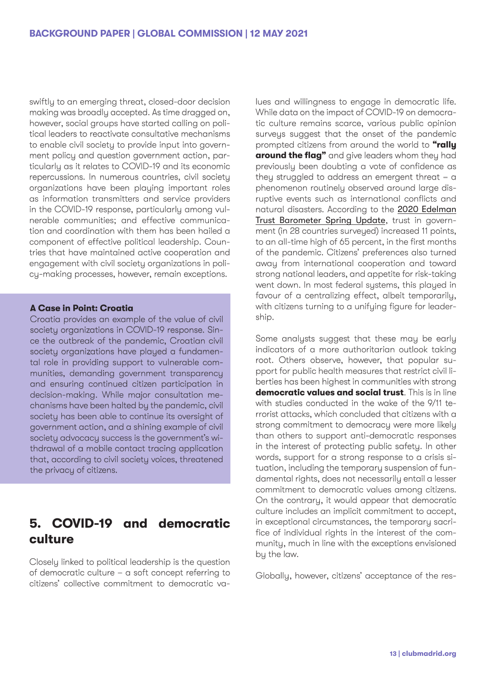swiftly to an emerging threat, closed-door decision making was broadly accepted. As time dragged on, however, social groups have started calling on political leaders to reactivate consultative mechanisms to enable civil society to provide input into government policy and question government action, particularly as it relates to COVID-19 and its economic repercussions. In numerous countries, civil society organizations have been playing important roles as information transmitters and service providers in the COVID-19 response, particularly among vulnerable communities; and effective communication and coordination with them has been hailed a component of effective political leadership. Countries that have maintained active cooperation and engagement with civil society organizations in policy-making processes, however, remain exceptions.

#### **A Case in Point: Croatia**

Croatia provides an example of the value of civil society organizations in COVID-19 response. Since the outbreak of the pandemic, Croatian civil society organizations have played a fundamental role in providing support to vulnerable communities, demanding government transparency and ensuring continued citizen participation in decision-making. While major consultation mechanisms have been halted by the pandemic, civil society has been able to continue its oversight of government action, and a shining example of civil society advocacy success is the government's withdrawal of a mobile contact tracing application that, according to civil society voices, threatened the privacy of citizens.

## **5. COVID-19 and democratic culture**

Closely linked to political leadership is the question of democratic culture – a soft concept referring to citizens' collective commitment to democratic va-

lues and willingness to engage in democratic life. While data on the impact of COVID-19 on democratic culture remains scarce, various public opinion surveys suggest that the onset of the pandemic prompted citizens from around the world to **"rally around the flag"** and give leaders whom they had previously been doubting a vote of confidence as they struggled to address an emergent threat – a phenomenon routinely observed around large disruptive events such as international conflicts and natural disasters. According to the [2020 Edelman](https://www.edelman.com/research/trust-2020-spring-update) [Trust Barometer Spring Update](https://www.edelman.com/research/trust-2020-spring-update), trust in government (in 28 countries surveyed) increased 11 points, to an all-time high of 65 percent, in the first months of the pandemic. Citizens' preferences also turned away from international cooperation and toward strong national leaders, and appetite for risk-taking went down. In most federal systems, this played in favour of a centralizing effect, albeit temporarily, with citizens turning to a unifying figure for leadership.

Some analysts suggest that these may be early indicators of a more authoritarian outlook taking root. Others observe, however, that popular support for public health measures that restrict civil liberties has been highest in communities with strong **democratic values and social trust**. This is in line with studies conducted in the wake of the 9/11 terrorist attacks, which concluded that citizens with a strong commitment to democracy were more likely than others to support anti-democratic responses in the interest of protecting public safety. In other words, support for a strong response to a crisis situation, including the temporary suspension of fundamental rights, does not necessarily entail a lesser commitment to democratic values among citizens. On the contrary, it would appear that democratic culture includes an implicit commitment to accept, in exceptional circumstances, the temporary sacrifice of individual rights in the interest of the community, much in line with the exceptions envisioned by the law.

Globally, however, citizens' acceptance of the res-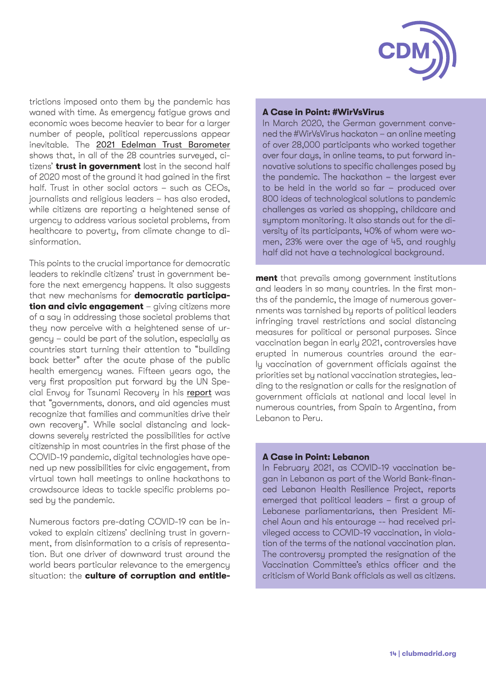

trictions imposed onto them by the pandemic has waned with time. As emergency fatigue grows and economic woes become heavier to bear for a larger number of people, political repercussions appear inevitable. The [2021 Edelman Trust Barometer](https://www.edelman.com/trust/2021-trust-barometer) shows that, in all of the 28 countries surveyed, citizens' **trust in government** lost in the second half of 2020 most of the ground it had gained in the first half. Trust in other social actors – such as CEOs, journalists and religious leaders – has also eroded, while citizens are reporting a heightened sense of urgency to address various societal problems, from healthcare to povertu, from climate change to disinformation.

This points to the crucial importance for democratic leaders to rekindle citizens' trust in government before the next emergency happens. It also suggests that new mechanisms for **democratic participation and civic engagement** – giving citizens more of a say in addressing those societal problems that they now perceive with a heightened sense of urgency – could be part of the solution, especially as countries start turning their attention to "building back better" after the acute phase of the public health emergency wanes. Fifteen years ago, the very first proposition put forward by the UN Special Envoy for Tsunami Recovery in his [report](https://www.preventionweb.net/files/2054_VL108301.pdf) was that "governments, donors, and aid agencies must recognize that families and communities drive their own recovery". While social distancing and lockdowns severely restricted the possibilities for active citizenship in most countries in the first phase of the COVID-19 pandemic, digital technologies have opened up new possibilities for civic engagement, from virtual town hall meetings to online hackathons to crowdsource ideas to tackle specific problems posed by the pandemic.

Numerous factors pre-dating COVID-19 can be invoked to explain citizens' declining trust in government, from disinformation to a crisis of representation. But one driver of downward trust around the world bears particular relevance to the emergency situation: the **culture of corruption and entitle-**

#### **A Case in Point: #WirVsVirus**

In March 2020, the German government convened the #WirVsVirus hackaton – an online meeting of over 28,000 participants who worked together over four days, in online teams, to put forward innovative solutions to specific challenges posed by the pandemic. The hackathon – the largest ever to be held in the world so far – produced over 800 ideas of technological solutions to pandemic challenges as varied as shopping, childcare and symptom monitoring. It also stands out for the diversity of its participants, 40% of whom were women, 23% were over the age of 45, and roughly half did not have a technological background.

**ment** that prevails among government institutions and leaders in so many countries. In the first months of the pandemic, the image of numerous governments was tarnished by reports of political leaders infringing travel restrictions and social distancing measures for political or personal purposes. Since vaccination began in early 2021, controversies have erupted in numerous countries around the early vaccination of government officials against the priorities set by national vaccination strategies, leading to the resignation or calls for the resignation of government officials at national and local level in numerous countries, from Spain to Argentina, from Lebanon to Peru.

#### **A Case in Point: Lebanon**

In February 2021, as COVID-19 vaccination began in Lebanon as part of the World Bank-financed Lebanon Health Resilience Project, reports emerged that political leaders – first a group of Lebanese parliamentarians, then President Michel Aoun and his entourage -- had received privileged access to COVID-19 vaccination, in violation of the terms of the national vaccination plan. The controversu prompted the resignation of the Vaccination Committee's ethics officer and the criticism of World Bank officials as well as citizens.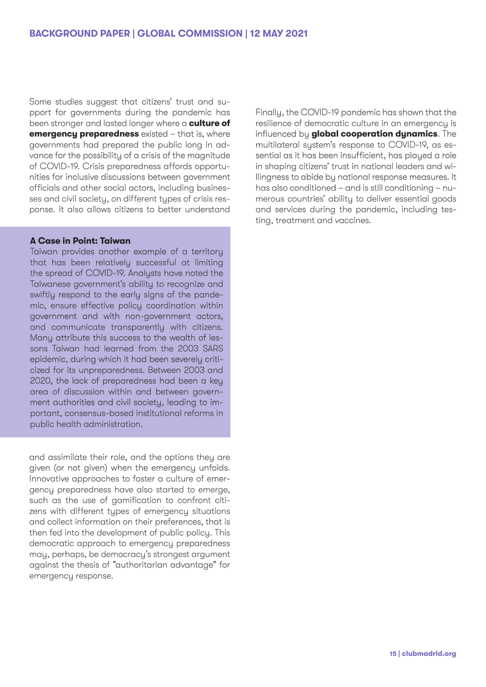Some studies suggest that citizens' trust and support for governments during the pandemic has been stronger and lasted longer where a **culture of emergency preparedness** existed – that is, where governments had prepared the public long in advance for the possibility of a crisis of the magnitude of COVID-19. Crisis preparedness affords opportunities for inclusive discussions between government officials and other social actors, including businesses and civil society, on different types of crisis response. It also allows citizens to better understand

#### **A Case in Point: Taiwan**

Taiwan provides another example of a territory that has been relatively successful at limiting the spread of COVID-19. Analysts have noted the Taiwanese government's ability to recognize and swiftly respond to the early signs of the pandemic, ensure effective policy coordination within government and with non-government actors, and communicate transparently with citizens. Many attribute this success to the wealth of lessons Taiwan had learned from the 2003 SARS epidemic, during which it had been severely criticized for its unpreparedness. Between 2003 and 2020, the lack of preparedness had been a key area of discussion within and between government authorities and civil society, leading to important, consensus-based institutional reforms in public health administration.

and assimilate their role, and the options they are given (or not given) when the emergency unfolds. Innovative approaches to foster a culture of emergency preparedness have also started to emerge, such as the use of gamification to confront citizens with different types of emergency situations and collect information on their preferences, that is then fed into the development of public policy. This democratic approach to emergency preparedness may, perhaps, be democracy's strongest argument against the thesis of "authoritarian advantage" for emergency response.

Finally, the COVID-19 pandemic has shown that the resilience of democratic culture in an emergency is influenced by **global cooperation dynamics**. The multilateral system's response to COVID-19, as essential as it has been insufficient, has played a role in shaping citizens' trust in national leaders and willingness to abide by national response measures. It has also conditioned – and is still conditioning – numerous countries' ability to deliver essential goods and services during the pandemic, including testing, treatment and vaccines.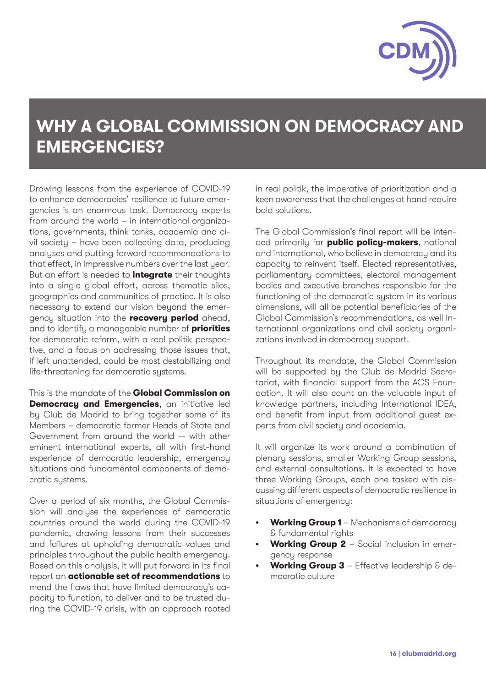

# **WHY A GLOBAL COMMISSION ON DEMOCRACY AND EMERGENCIES?**

Drawing lessons from the experience of COVID-19 to enhance democracies' resilience to future emergencies is an enormous task. Democracy experts from around the world – in international organizations, governments, think tanks, academia and civil society – have been collecting data, producing analyses and putting forward recommendations to that effect, in impressive numbers over the last year. But an effort is needed to **integrate** their thoughts into a single global effort, across thematic silos, geographies and communities of practice. It is also necessary to extend our vision beyond the emergency situation into the **recovery period** ahead, and to identify a manageable number of **priorities**  for democratic reform, with a real politik perspective, and a focus on addressing those issues that, if left unattended, could be most destabilizing and life-threatening for democratic sustems.

This is the mandate of the **Global Commission on Democracy and Emergencies**, an initiative led by Club de Madrid to bring together some of its Members – democratic former Heads of State and Government from around the world -- with other eminent international experts, all with first-hand experience of democratic leadership, emergency situations and fundamental components of democratic systems.

Over a period of six months, the Global Commission will analyse the experiences of democratic countries around the world during the COVID-19 pandemic, drawing lessons from their successes and failures at upholding democratic values and principles throughout the public health emergency. Based on this analysis, it will put forward in its final report an **actionable set of recommendations** to mend the flaws that have limited democracy's capacity to function, to deliver and to be trusted during the COVID-19 crisis, with an approach rooted in real politik, the imperative of prioritization and a keen awareness that the challenges at hand require bold solutions.

The Global Commission's final report will be intended primarily for **public policy-makers**, national and international, who believe in democracy and its capacity to reinvent itself. Elected representatives, parliamentary committees, electoral management bodies and executive branches responsible for the functioning of the democratic system in its various dimensions, will all be potential beneficiaries of the Global Commission's recommendations, as well international organizations and civil society organizations involved in democracy support.

Throughout its mandate, the Global Commission will be supported by the Club de Madrid Secretariat, with financial support from the ACS Foundation. It will also count on the valuable input of knowledge partners, including International IDEA, and benefit from input from additional guest experts from civil society and academia.

It will organize its work around a combination of plenary sessions, smaller Working Group sessions, and external consultations. It is expected to have three Working Groups, each one tasked with discussing different aspects of democratic resilience in situations of emergency:

- **• Working Group 1** Mechanisms of democracy & fundamental rights
- **• Working Group 2** Social inclusion in emergency response
- **• Working Group 3** Effective leadership & democratic culture